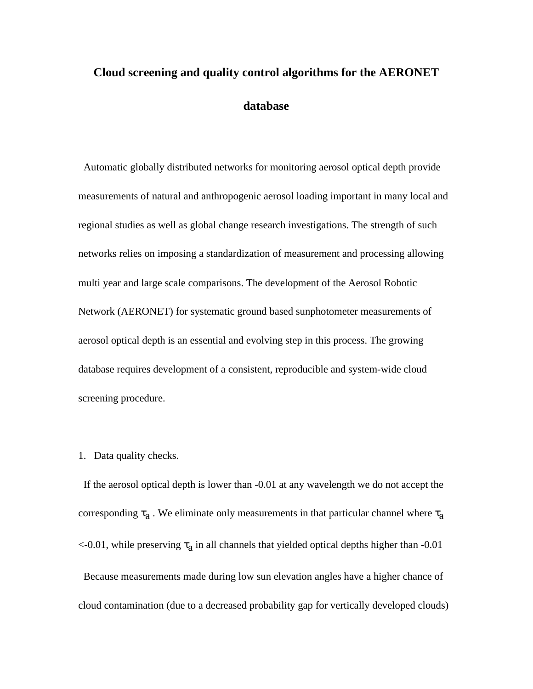# **Cloud screening and quality control algorithms for the AERONET database**

 Automatic globally distributed networks for monitoring aerosol optical depth provide measurements of natural and anthropogenic aerosol loading important in many local and regional studies as well as global change research investigations. The strength of such networks relies on imposing a standardization of measurement and processing allowing multi year and large scale comparisons. The development of the Aerosol Robotic Network (AERONET) for systematic ground based sunphotometer measurements of aerosol optical depth is an essential and evolving step in this process. The growing database requires development of a consistent, reproducible and system-wide cloud screening procedure.

# 1. Data quality checks.

 If the aerosol optical depth is lower than -0.01 at any wavelength we do not accept the corresponding  $\tau_a$ . We eliminate only measurements in that particular channel where  $\tau_a$  $\leq$ -0.01, while preserving  $\tau_a$  in all channels that yielded optical depths higher than -0.01 Because measurements made during low sun elevation angles have a higher chance of cloud contamination (due to a decreased probability gap for vertically developed clouds)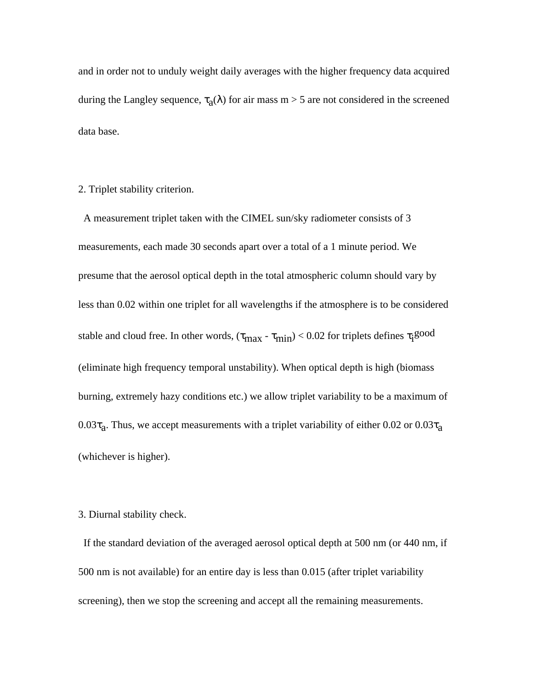and in order not to unduly weight daily averages with the higher frequency data acquired during the Langley sequence,  $\tau_a(\lambda)$  for air mass m > 5 are not considered in the screened data base.

2. Triplet stability criterion.

 A measurement triplet taken with the CIMEL sun/sky radiometer consists of 3 measurements, each made 30 seconds apart over a total of a 1 minute period. We presume that the aerosol optical depth in the total atmospheric column should vary by less than 0.02 within one triplet for all wavelengths if the atmosphere is to be considered stable and cloud free. In other words,  $(\tau_{\rm max}$  -  $\tau_{\rm min})$  < 0.02 for triplets defines  $\tau_{\rm i}$ good (eliminate high frequency temporal unstability). When optical depth is high (biomass burning, extremely hazy conditions etc.) we allow triplet variability to be a maximum of  $0.03\tau_a$ . Thus, we accept measurements with a triplet variability of either 0.02 or 0.03 $\tau_a$ (whichever is higher).

### 3. Diurnal stability check.

 If the standard deviation of the averaged aerosol optical depth at 500 nm (or 440 nm, if 500 nm is not available) for an entire day is less than 0.015 (after triplet variability screening), then we stop the screening and accept all the remaining measurements.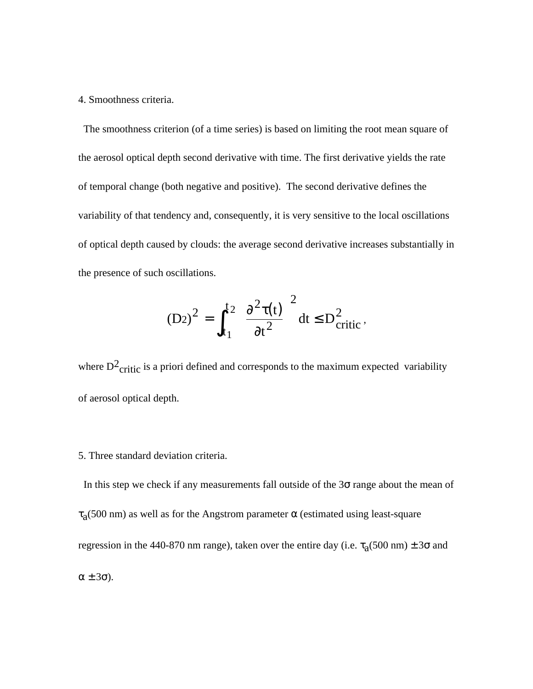#### 4. Smoothness criteria.

 The smoothness criterion (of a time series) is based on limiting the root mean square of the aerosol optical depth second derivative with time. The first derivative yields the rate of temporal change (both negative and positive). The second derivative defines the variability of that tendency and, consequently, it is very sensitive to the local oscillations of optical depth caused by clouds: the average second derivative increases substantially in the presence of such oscillations.

$$
(D2)^{2} = \int_{t_1}^{t_2} \left(\frac{\partial^{2} \tau(t)}{\partial t^{2}}\right)^{2} dt \le D_{critic}^{2},
$$

where  $D^2$ <sub>critic</sub> is a priori defined and corresponds to the maximum expected variability of aerosol optical depth.

# 5. Three standard deviation criteria.

In this step we check if any measurements fall outside of the  $3\sigma$  range about the mean of  $\tau_a$ (500 nm) as well as for the Angstrom parameter  $\alpha$  (estimated using least-square regression in the 440-870 nm range), taken over the entire day (i.e.  $\tau_a(500 \text{ nm}) \pm 3\sigma$  and α ± 3σ).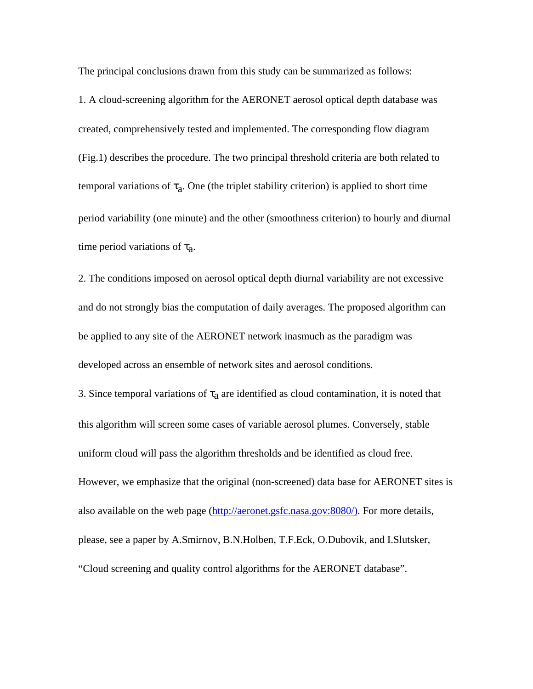The principal conclusions drawn from this study can be summarized as follows:

1. A cloud-screening algorithm for the AERONET aerosol optical depth database was created, comprehensively tested and implemented. The corresponding flow diagram (Fig.1) describes the procedure. The two principal threshold criteria are both related to temporal variations of  $\tau_a$ . One (the triplet stability criterion) is applied to short time period variability (one minute) and the other (smoothness criterion) to hourly and diurnal time period variations of  $\tau_a$ .

2. The conditions imposed on aerosol optical depth diurnal variability are not excessive and do not strongly bias the computation of daily averages. The proposed algorithm can be applied to any site of the AERONET network inasmuch as the paradigm was developed across an ensemble of network sites and aerosol conditions.

3. Since temporal variations of  $\tau_a$  are identified as cloud contamination, it is noted that this algorithm will screen some cases of variable aerosol plumes. Conversely, stable uniform cloud will pass the algorithm thresholds and be identified as cloud free. However, we emphasize that the original (non-screened) data base for AERONET sites is also available on the web page (http://aeronet.gsfc.nasa.gov:8080/). For more details, please, see a paper by A.Smirnov, B.N.Holben, T.F.Eck, O.Dubovik, and I.Slutsker, "Cloud screening and quality control algorithms for the AERONET database".